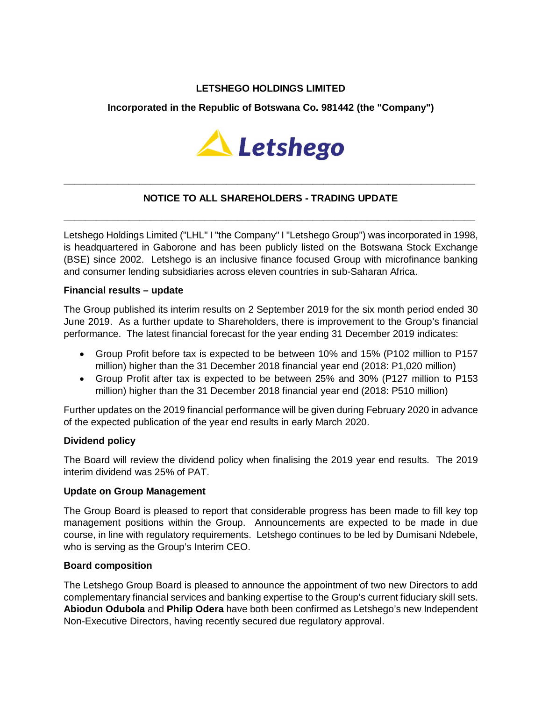## **LETSHEGO HOLDINGS LIMITED**

### **Incorporated in the Republic of Botswana Co. 981442 (the "Company")**



# **NOTICE TO ALL SHAREHOLDERS - TRADING UPDATE**

**\_\_\_\_\_\_\_\_\_\_\_\_\_\_\_\_\_\_\_\_\_\_\_\_\_\_\_\_\_\_\_\_\_\_\_\_\_\_\_\_\_\_\_\_\_\_\_\_\_\_\_\_\_\_\_\_\_\_\_\_\_\_\_\_\_\_\_\_\_\_\_\_\_\_\_\_**

**\_\_\_\_\_\_\_\_\_\_\_\_\_\_\_\_\_\_\_\_\_\_\_\_\_\_\_\_\_\_\_\_\_\_\_\_\_\_\_\_\_\_\_\_\_\_\_\_\_\_\_\_\_\_\_\_\_\_\_\_\_\_\_\_\_\_\_\_\_\_\_\_\_\_\_\_**

Letshego Holdings Limited ("LHL" I "the Company" I "Letshego Group") was incorporated in 1998, is headquartered in Gaborone and has been publicly listed on the Botswana Stock Exchange (BSE) since 2002. Letshego is an inclusive finance focused Group with microfinance banking and consumer lending subsidiaries across eleven countries in sub-Saharan Africa.

#### **Financial results – update**

The Group published its interim results on 2 September 2019 for the six month period ended 30 June 2019. As a further update to Shareholders, there is improvement to the Group's financial performance. The latest financial forecast for the year ending 31 December 2019 indicates:

- Group Profit before tax is expected to be between 10% and 15% (P102 million to P157 million) higher than the 31 December 2018 financial year end (2018: P1,020 million)
- Group Profit after tax is expected to be between 25% and 30% (P127 million to P153 million) higher than the 31 December 2018 financial year end (2018: P510 million)

Further updates on the 2019 financial performance will be given during February 2020 in advance of the expected publication of the year end results in early March 2020.

#### **Dividend policy**

The Board will review the dividend policy when finalising the 2019 year end results. The 2019 interim dividend was 25% of PAT.

#### **Update on Group Management**

The Group Board is pleased to report that considerable progress has been made to fill key top management positions within the Group. Announcements are expected to be made in due course, in line with regulatory requirements. Letshego continues to be led by Dumisani Ndebele, who is serving as the Group's Interim CEO.

#### **Board composition**

The Letshego Group Board is pleased to announce the appointment of two new Directors to add complementary financial services and banking expertise to the Group's current fiduciary skill sets. **Abiodun Odubola** and **Philip Odera** have both been confirmed as Letshego's new Independent Non-Executive Directors, having recently secured due regulatory approval.